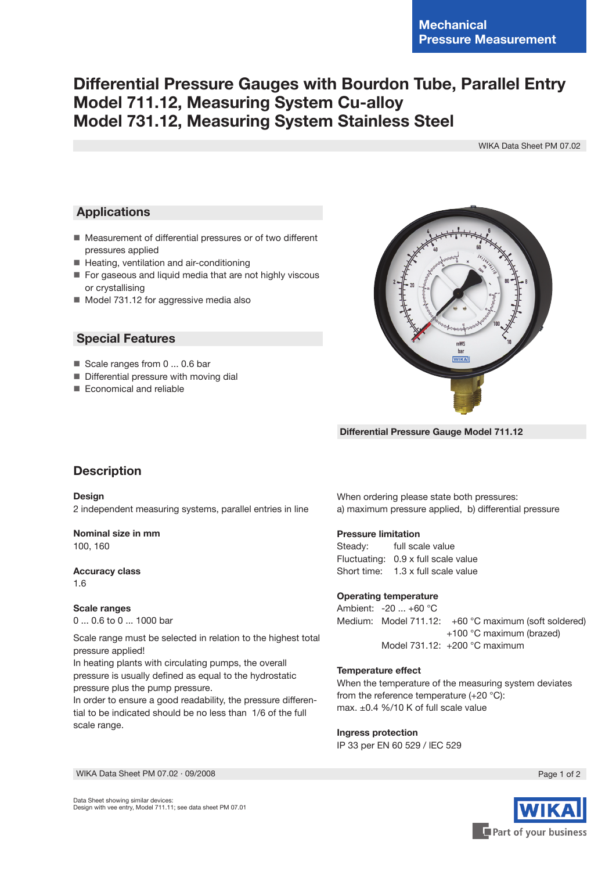# **Differential Pressure Gauges with Bourdon Tube, Parallel Entry Model 711.12, Measuring System Cu-alloy Model 731.12, Measuring System Stainless Steel**

WIKA Data Sheet PM 07.02

## **Applications**

- Measurement of differential pressures or of two different pressures applied
- Heating, ventilation and air-conditioning
- For gaseous and liquid media that are not highly viscous or crystallising
- Model 731.12 for aggressive media also

## **Special Features**

- Scale ranges from 0 ... 0.6 bar
- **Differential pressure with moving dial**
- Economical and reliable



 **Differential Pressure Gauge Model 711.12**

## **Description**

#### **Design**

2 independent measuring systems, parallel entries in line

## **Nominal size in mm**

100, 160

## **Accuracy class**

1.6

#### **Scale ranges**

0 ... 0.6 to 0 ... 1000 bar

Scale range must be selected in relation to the highest total pressure applied!

In heating plants with circulating pumps, the overall pressure is usually defined as equal to the hydrostatic pressure plus the pump pressure.

In order to ensure a good readability, the pressure differential to be indicated should be no less than 1/6 of the full scale range.

When ordering please state both pressures: a) maximum pressure applied, b) differential pressure

#### **Pressure limitation**

Steady: full scale value Fluctuating: 0.9 x full scale value Short time: 1.3 x full scale value

#### **Operating temperature**

Ambient: -20 ... +60 °C Medium: Model 711.12: +60 °C maximum (soft soldered) +100 °C maximum (brazed) Model 731.12: +200 °C maximum

#### **Temperature effect**

When the temperature of the measuring system deviates from the reference temperature (+20 °C): max. ±0.4 %/10 K of full scale value

#### **Ingress protection**

IP 33 per EN 60 529 / lEC 529

WIKA Data Sheet PM 07.02 ⋅ 09/2008 Page 1 of 2



Data Sheet showing similar devices: Design with vee entry, Model 711.11; see data sheet PM 07.01